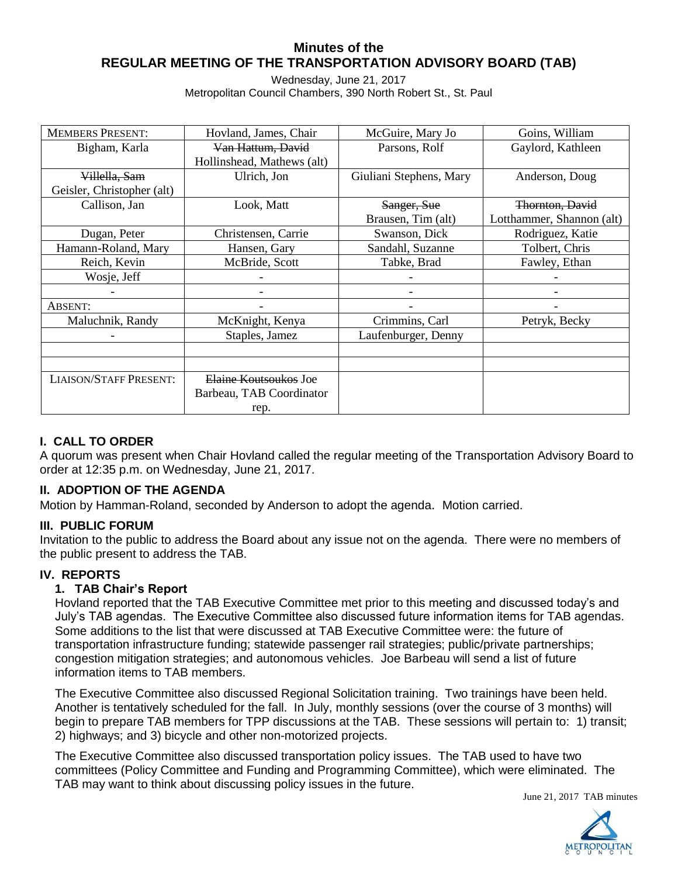# **Minutes of the REGULAR MEETING OF THE TRANSPORTATION ADVISORY BOARD (TAB)**

Wednesday, June 21, 2017 Metropolitan Council Chambers, 390 North Robert St., St. Paul

| <b>MEMBERS PRESENT:</b>       | Hovland, James, Chair      | McGuire, Mary Jo        | Goins, William            |
|-------------------------------|----------------------------|-------------------------|---------------------------|
| Bigham, Karla                 | Van Hattum, David          | Parsons, Rolf           | Gaylord, Kathleen         |
|                               | Hollinshead, Mathews (alt) |                         |                           |
| Villella, Sam                 | Ulrich, Jon                | Giuliani Stephens, Mary | Anderson, Doug            |
| Geisler, Christopher (alt)    |                            |                         |                           |
| Callison, Jan                 | Look, Matt                 | Sanger, Sue             | Thornton, David           |
|                               |                            | Brausen, Tim (alt)      | Lotthammer, Shannon (alt) |
| Dugan, Peter                  | Christensen, Carrie        | Swanson, Dick           | Rodriguez, Katie          |
| Hamann-Roland, Mary           | Hansen, Gary               | Sandahl, Suzanne        | Tolbert, Chris            |
| Reich, Kevin                  | McBride, Scott             | Tabke, Brad             | Fawley, Ethan             |
| Wosje, Jeff                   |                            |                         |                           |
|                               |                            |                         |                           |
| ABSENT:                       |                            |                         |                           |
| Maluchnik, Randy              | McKnight, Kenya            | Crimmins, Carl          | Petryk, Becky             |
|                               | Staples, Jamez             | Laufenburger, Denny     |                           |
|                               |                            |                         |                           |
|                               |                            |                         |                           |
| <b>LIAISON/STAFF PRESENT:</b> | Elaine Koutsoukos Joe      |                         |                           |
|                               | Barbeau, TAB Coordinator   |                         |                           |
|                               | rep.                       |                         |                           |

# **I. CALL TO ORDER**

A quorum was present when Chair Hovland called the regular meeting of the Transportation Advisory Board to order at 12:35 p.m. on Wednesday, June 21, 2017.

# **II. ADOPTION OF THE AGENDA**

Motion by Hamman-Roland, seconded by Anderson to adopt the agenda. Motion carried.

## **III. PUBLIC FORUM**

Invitation to the public to address the Board about any issue not on the agenda. There were no members of the public present to address the TAB.

## **IV. REPORTS**

## **1. TAB Chair's Report**

Hovland reported that the TAB Executive Committee met prior to this meeting and discussed today's and July's TAB agendas. The Executive Committee also discussed future information items for TAB agendas. Some additions to the list that were discussed at TAB Executive Committee were: the future of transportation infrastructure funding; statewide passenger rail strategies; public/private partnerships; congestion mitigation strategies; and autonomous vehicles. Joe Barbeau will send a list of future information items to TAB members.

The Executive Committee also discussed Regional Solicitation training. Two trainings have been held. Another is tentatively scheduled for the fall. In July, monthly sessions (over the course of 3 months) will begin to prepare TAB members for TPP discussions at the TAB. These sessions will pertain to: 1) transit; 2) highways; and 3) bicycle and other non-motorized projects.

The Executive Committee also discussed transportation policy issues. The TAB used to have two committees (Policy Committee and Funding and Programming Committee), which were eliminated. The TAB may want to think about discussing policy issues in the future.

June 21, 2017 TAB minutes

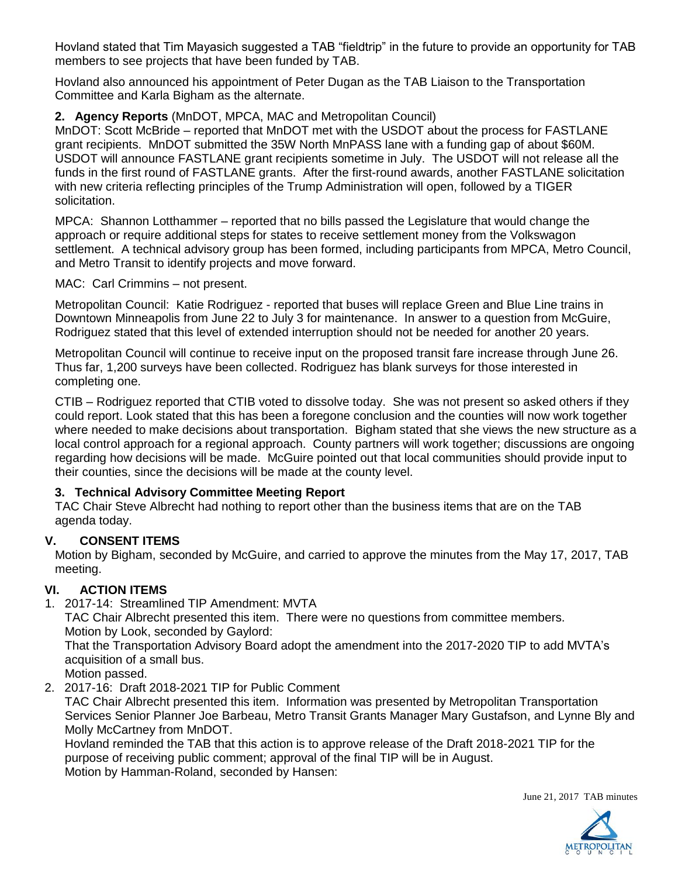Hovland stated that Tim Mayasich suggested a TAB "fieldtrip" in the future to provide an opportunity for TAB members to see projects that have been funded by TAB.

Hovland also announced his appointment of Peter Dugan as the TAB Liaison to the Transportation Committee and Karla Bigham as the alternate.

# **2. Agency Reports** (MnDOT, MPCA, MAC and Metropolitan Council)

MnDOT: Scott McBride – reported that MnDOT met with the USDOT about the process for FASTLANE grant recipients. MnDOT submitted the 35W North MnPASS lane with a funding gap of about \$60M. USDOT will announce FASTLANE grant recipients sometime in July. The USDOT will not release all the funds in the first round of FASTLANE grants. After the first-round awards, another FASTLANE solicitation with new criteria reflecting principles of the Trump Administration will open, followed by a TIGER solicitation.

MPCA: Shannon Lotthammer – reported that no bills passed the Legislature that would change the approach or require additional steps for states to receive settlement money from the Volkswagon settlement. A technical advisory group has been formed, including participants from MPCA, Metro Council, and Metro Transit to identify projects and move forward.

MAC: Carl Crimmins – not present.

Metropolitan Council: Katie Rodriguez - reported that buses will replace Green and Blue Line trains in Downtown Minneapolis from June 22 to July 3 for maintenance. In answer to a question from McGuire, Rodriguez stated that this level of extended interruption should not be needed for another 20 years.

Metropolitan Council will continue to receive input on the proposed transit fare increase through June 26. Thus far, 1,200 surveys have been collected. Rodriguez has blank surveys for those interested in completing one.

CTIB – Rodriguez reported that CTIB voted to dissolve today. She was not present so asked others if they could report. Look stated that this has been a foregone conclusion and the counties will now work together where needed to make decisions about transportation. Bigham stated that she views the new structure as a local control approach for a regional approach. County partners will work together; discussions are ongoing regarding how decisions will be made. McGuire pointed out that local communities should provide input to their counties, since the decisions will be made at the county level.

# **3. Technical Advisory Committee Meeting Report**

TAC Chair Steve Albrecht had nothing to report other than the business items that are on the TAB agenda today.

# **V. CONSENT ITEMS**

Motion by Bigham, seconded by McGuire, and carried to approve the minutes from the May 17, 2017, TAB meeting.

# **VI. ACTION ITEMS**

1. 2017-14: Streamlined TIP Amendment: MVTA

TAC Chair Albrecht presented this item. There were no questions from committee members. Motion by Look, seconded by Gaylord:

That the Transportation Advisory Board adopt the amendment into the 2017-2020 TIP to add MVTA's acquisition of a small bus.

Motion passed.

2. 2017-16: Draft 2018-2021 TIP for Public Comment

TAC Chair Albrecht presented this item. Information was presented by Metropolitan Transportation Services Senior Planner Joe Barbeau, Metro Transit Grants Manager Mary Gustafson, and Lynne Bly and Molly McCartney from MnDOT.

Hovland reminded the TAB that this action is to approve release of the Draft 2018-2021 TIP for the purpose of receiving public comment; approval of the final TIP will be in August. Motion by Hamman-Roland, seconded by Hansen: